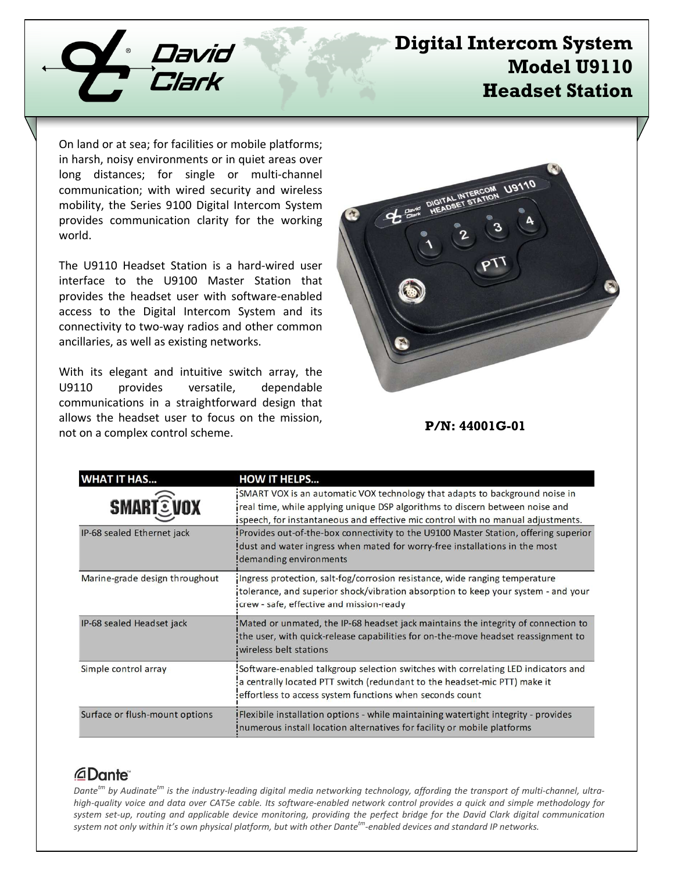

# **Digital Intercom System Model U9110 Headset Station**

On land or at sea; for facilities or mobile platforms; in harsh, noisy environments or in quiet areas over long distances; for single or multi-channel communication; with wired security and wireless mobility, the Series 9100 Digital Intercom System provides communication clarity for the working world.

The U9110 Headset Station is a hard-wired user interface to the U9100 Master Station that provides the headset user with software-enabled access to the Digital Intercom System and its connectivity to two-way radios and other common ancillaries, as well as existing networks.

With its elegant and intuitive switch array, the U9110 provides versatile, dependable communications in a straightforward design that allows the headset user to focus on the mission, not on a complex control scheme.



#### **P/N: 44001G-01**

| <b>HAT IT HAS</b>              | <b>HOW IT HELPS</b>                                                                                                                                                                                                                             |
|--------------------------------|-------------------------------------------------------------------------------------------------------------------------------------------------------------------------------------------------------------------------------------------------|
| <b>SMARTEVOX</b>               | SMART VOX is an automatic VOX technology that adapts to background noise in<br>real time, while applying unique DSP algorithms to discern between noise and<br>ispeech, for instantaneous and effective mic control with no manual adjustments. |
| IP-68 sealed Ethernet jack     | Provides out-of-the-box connectivity to the U9100 Master Station, offering superior<br>dust and water ingress when mated for worry-free installations in the most<br>demanding environments!                                                    |
| Marine-grade design throughout | Ingress protection, salt-fog/corrosion resistance, wide ranging temperature<br>tolerance, and superior shock/vibration absorption to keep your system - and your<br>icrew - safe, effective and mission-ready                                   |
| IP-68 sealed Headset jack      | Mated or unmated, the IP-68 headset jack maintains the integrity of connection to<br>the user, with quick-release capabilities for on-the-move headset reassignment to<br>wireless belt stations                                                |
| Simple control array           | Software-enabled talkgroup selection switches with correlating LED indicators and<br>a centrally located PTT switch (redundant to the headset-mic PTT) make it:<br>effortless to access system functions when seconds count                     |
| Surface or flush-mount options | Flexibile installation options - while maintaining watertight integrity - provides<br>Inumerous install location alternatives for facility or mobile platforms                                                                                  |

#### *<u>ADante</u>*

*Dantetm by Audinatetm is the industry-leading digital media networking technology, affording the transport of multi-channel, ultrahigh-quality voice and data over CAT5e cable. Its software-enabled network control provides a quick and simple methodology for system set-up, routing and applicable device monitoring, providing the perfect bridge for the David Clark digital communication system not only within it's own physical platform, but with other Dantetm-enabled devices and standard IP networks.*